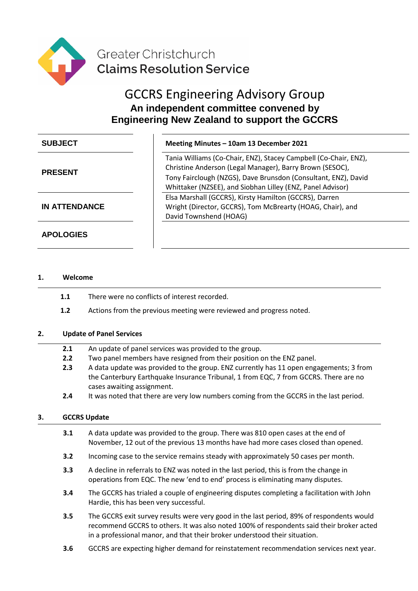

# GCCRS Engineering Advisory Group **An independent committee convened by Engineering New Zealand to support the GCCRS**

| <b>SUBJECT</b>       | Meeting Minutes - 10am 13 December 2021                                                                                                                                                                                                                      |
|----------------------|--------------------------------------------------------------------------------------------------------------------------------------------------------------------------------------------------------------------------------------------------------------|
| <b>PRESENT</b>       | Tania Williams (Co-Chair, ENZ), Stacey Campbell (Co-Chair, ENZ),<br>Christine Anderson (Legal Manager), Barry Brown (SESOC),<br>Tony Fairclough (NZGS), Dave Brunsdon (Consultant, ENZ), David<br>Whittaker (NZSEE), and Siobhan Lilley (ENZ, Panel Advisor) |
| <b>IN ATTENDANCE</b> | Elsa Marshall (GCCRS), Kirsty Hamilton (GCCRS), Darren<br>Wright (Director, GCCRS), Tom McBrearty (HOAG, Chair), and<br>David Townshend (HOAG)                                                                                                               |
| <b>APOLOGIES</b>     |                                                                                                                                                                                                                                                              |

## **1. Welcome**

- **1.1** There were no conflicts of interest recorded.
- **1.2** Actions from the previous meeting were reviewed and progress noted.

# **2. Update of Panel Services**

- **2.1** An update of panel services was provided to the group.
- **2.2** Two panel members have resigned from their position on the ENZ panel.
- **2.3** A data update was provided to the group. ENZ currently has 11 open engagements; 3 from the Canterbury Earthquake Insurance Tribunal, 1 from EQC, 7 from GCCRS. There are no cases awaiting assignment.
- **2.4** It was noted that there are very low numbers coming from the GCCRS in the last period.

#### **3. GCCRS Update**

- **3.1** A data update was provided to the group. There was 810 open cases at the end of November, 12 out of the previous 13 months have had more cases closed than opened.
- **3.2** Incoming case to the service remains steady with approximately 50 cases per month.
- **3.3** A decline in referrals to ENZ was noted in the last period, this is from the change in operations from EQC. The new 'end to end' process is eliminating many disputes.
- **3.4** The GCCRS has trialed a couple of engineering disputes completing a facilitation with John Hardie, this has been very successful.
- **3.5** The GCCRS exit survey results were very good in the last period, 89% of respondents would recommend GCCRS to others. It was also noted 100% of respondents said their broker acted in a professional manor, and that their broker understood their situation.
- **3.6** GCCRS are expecting higher demand for reinstatement recommendation services next year.